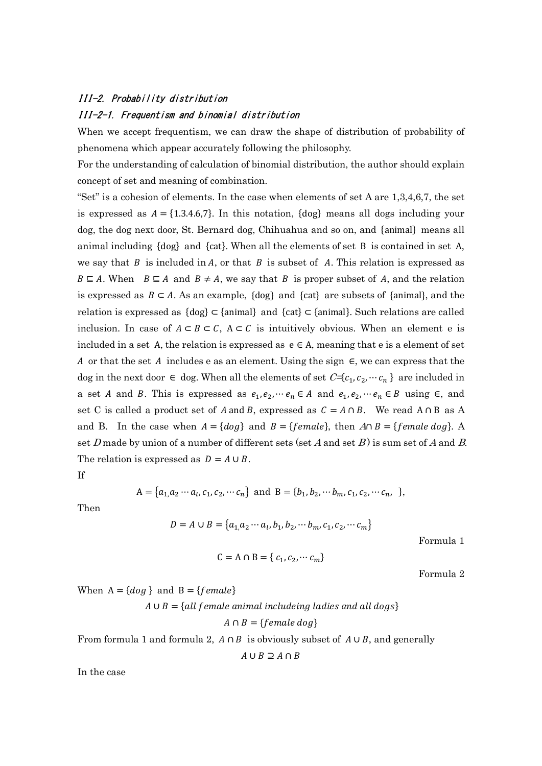## III-2. Probability distribution

## III-2-1. Frequentism and binomial distribution

When we accept frequentism, we can draw the shape of distribution of probability of phenomena which appear accurately following the philosophy.

For the understanding of calculation of binomial distribution, the author should explain concept of set and meaning of combination.

"Set" is a cohesion of elements. In the case when elements of set A are  $1,3,4,6,7$ , the set is expressed as  $A = \{1.3.4.6, 7\}$ . In this notation,  $\{dog\}$  means all dogs including your dog, the dog next door, St. Bernard dog, Chihuahua and so on, and {animal} means all animal including {dog} and {cat}. When all the elements of set B is contained in set A, we say that  $B$  is included in  $A$ , or that  $B$  is subset of  $A$ . This relation is expressed as  $B \subseteq A$ . When  $B \subseteq A$  and  $B \neq A$ , we say that B is proper subset of A, and the relation is expressed as  $B \subset A$ . As an example, {dog} and {cat} are subsets of {animal}, and the relation is expressed as {dog} ⊂ {animal} and {cat} ⊂ {animal}. Such relations are called inclusion. In case of  $A \subset B \subset C$ ,  $A \subset C$  is intuitively obvious. When an element e is included in a set A, the relation is expressed as  $e \in A$ , meaning that e is a element of set A or that the set A includes e as an element. Using the sign  $\epsilon$ , we can express that the dog in the next door  $\in$  dog. When all the elements of set  $C = \{c_1, c_2, \dots, c_n\}$  are included in a set *A* and *B*. This is expressed as  $e_1, e_2, \dots, e_n \in A$  and  $e_1, e_2, \dots, e_n \in B$  using  $\in$ , and set C is called a product set of A and B, expressed as  $C = A \cap B$ . We read  $A \cap B$  as A and B. In the case when  $A = \{dog\}$  and  $B = \{female\}$ , then  $A \cap B = \{female\ dog\}$ . A set D made by union of a number of different sets (set A and set B) is sum set of A and B. The relation is expressed as  $D = A \cup B$ .

If

$$
A = \{a_1, a_2 \cdots a_l, c_1, c_2, \cdots c_n\} \text{ and } B = \{b_1, b_2, \cdots b_m, c_1, c_2, \cdots c_n, \}
$$

Then

$$
D = A \cup B = \{a_1, a_2 \cdots a_l, b_1, b_2, \cdots b_m, c_1, c_2, \cdots c_m\}
$$

Formula 1

$$
C = A \cap B = \{c_1, c_2, \cdots c_m\}
$$

Formula 2

When  $A = \{dog\}$  and  $B = \{female\}$ 

$$
A \cup B = \{all female animal including ladies and all dogs\}
$$
\n
$$
A \cap B = \{female dog\}
$$
\nFrom formula 1 and formula 2,  $A \cap B$  is obviously subset of  $A \cup B$ , and generally

 $A \cup B \supseteq A \cap B$ 

In the case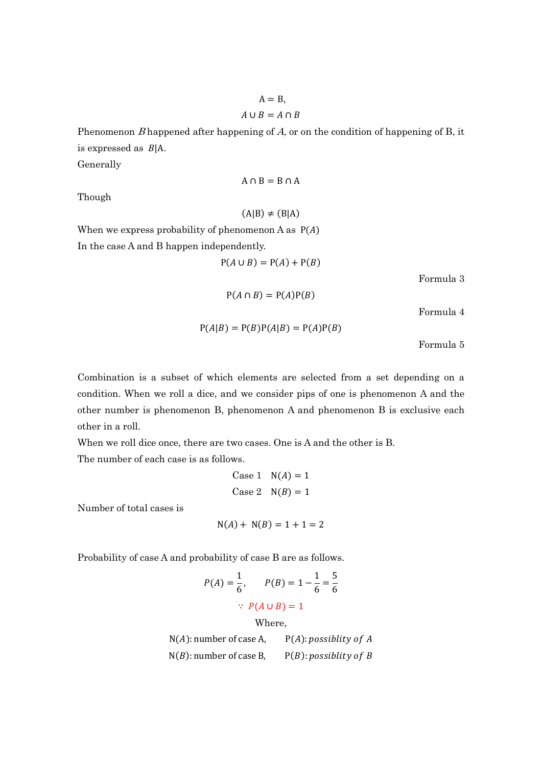$A = B$ ,  $A \cup B = A \cap B$ 

Phenomenon  $B$  happened after happening of  $A$ , or on the condition of happening of  $B$ , it is expressed as  $B|A$ .

Generally

Though

 $(A|B) \neq (B|A)$ 

 $A \cap B = B \cap A$ 

When we express probability of phenomenon A as  $P(A)$ In the case A and B happen independently.

$$
P(A \cup B) = P(A) + P(B)
$$

Formula 3

 $P(A \cap B) = P(A)P(B)$ 

Formula 4

 $P(A|B) = P(B)P(A|B) = P(A)P(B)$ 

Formula 5

Combination is a subset of which elements are selected from a set depending on a condition. When we roll a dice, and we consider pips of one is phenomenon A and the other number is phenomenon B, phenomenon A and phenomenon B is exclusive each other in a roll.

When we roll dice once, there are two cases. One is A and the other is B. The number of each case is as follows.

Case 1 
$$
N(A) = 1
$$
  
Case 2  $N(B) = 1$ 

Number of total cases is

$$
N(A) + N(B) = 1 + 1 = 2
$$

Probability of case A and probability of case B are as follows.

$$
P(A) = \frac{1}{6}, \qquad P(B) = 1 - \frac{1}{6} = \frac{5}{6}
$$
  
  $\therefore P(A \cup B) = 1$   
Where,

 $N(A)$ : number of case A,  $P(A)$ : possiblity of A  $N(B)$ : number of case B,  $P(B)$ : possiblity of B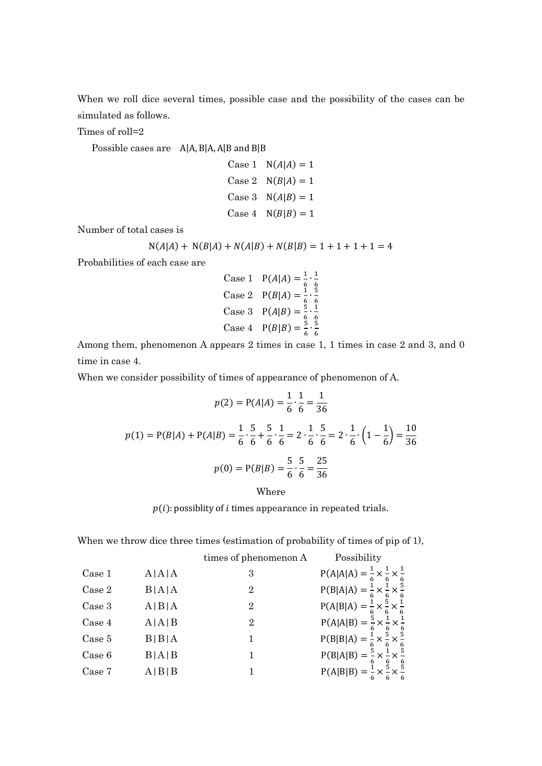When we roll dice several times, possible case and the possibility of the cases can be simulated as follows.

Times of roll=2

Possible cases are A|A, B|A, A|B and B|B

Case 1 
$$
N(A|A) = 1
$$
\nCase 2  $N(B|A) = 1$ \nCase 3  $N(A|B) = 1$ \nCase 4  $N(B|B) = 1$ 

Number of total cases is

$$
N(A|A) + N(B|A) + N(A|B) + N(B|B) = 1 + 1 + 1 + 1 = 4
$$

Probabilities of each case are

Case 1 
$$
P(A|A) = \frac{1}{6} \cdot \frac{1}{6}
$$
  
\nCase 2  $P(B|A) = \frac{1}{6} \cdot \frac{5}{6}$   
\nCase 3  $P(A|B) = \frac{5}{6} \cdot \frac{1}{6}$   
\nCase 4  $P(B|B) = \frac{5}{6} \cdot \frac{5}{6}$ 

Among them, phenomenon A appears 2 times in case 1, 1 times in case 2 and 3, and 0 time in case 4.

When we consider possibility of times of appearance of phenomenon of A.

$$
p(2) = P(A|A) = \frac{1}{6} \cdot \frac{1}{6} = \frac{1}{36}
$$

$$
p(1) = P(B|A) + P(A|B) = \frac{1}{6} \cdot \frac{5}{6} + \frac{5}{6} \cdot \frac{1}{6} = 2 \cdot \frac{1}{6} \cdot \frac{5}{6} = 2 \cdot \frac{1}{6} \cdot \left(1 - \frac{1}{6}\right) = \frac{10}{36}
$$

$$
p(0) = P(B|B) = \frac{5}{6} \cdot \frac{5}{6} = \frac{25}{36}
$$

Where

 $p(i)$ : possiblity of *i* times appearance in repeated trials.

 $\ddot{\phantom{0}}$ 

 $\ddot{\phantom{0}}$ 

 $\ddot{\phantom{0}}$ 

 $\ddot{\phantom{0}}$ 

 $\ddot{\phantom{0}}$ 

Ì,

When we throw dice three times (estimation of probability of times of pip of 1),

|        |       | times of phenomenon A | Possibility                                                                                                                                                                                                                                                                                                                                                               |
|--------|-------|-----------------------|---------------------------------------------------------------------------------------------------------------------------------------------------------------------------------------------------------------------------------------------------------------------------------------------------------------------------------------------------------------------------|
| Case 1 | A A A | 3                     |                                                                                                                                                                                                                                                                                                                                                                           |
| Case 2 | B A A | 2                     |                                                                                                                                                                                                                                                                                                                                                                           |
| Case 3 | A B A | 2                     |                                                                                                                                                                                                                                                                                                                                                                           |
| Case 4 | A A B | $\overline{2}$        |                                                                                                                                                                                                                                                                                                                                                                           |
| Case 5 | B B A |                       |                                                                                                                                                                                                                                                                                                                                                                           |
| Case 6 | B A B |                       |                                                                                                                                                                                                                                                                                                                                                                           |
| Case 7 | A B B |                       | P(A A A) = $\frac{1}{6} \times \frac{1}{6} \times \frac{1}{6}$<br>P(B A A) = $\frac{1}{6} \times \frac{1}{6} \times \frac{5}{6}$<br>P(A B A) = $\frac{1}{6} \times \frac{5}{6} \times \frac{1}{6}$<br>P(A B A) = $\frac{1}{6} \times \frac{5}{6} \times \frac{1}{6}$<br>P(B B A) = $\frac{1}{6} \times \frac{5}{6} \times \frac{5}{6}$<br>P(B B A) = $\frac{1}{6} \times$ |
|        |       |                       |                                                                                                                                                                                                                                                                                                                                                                           |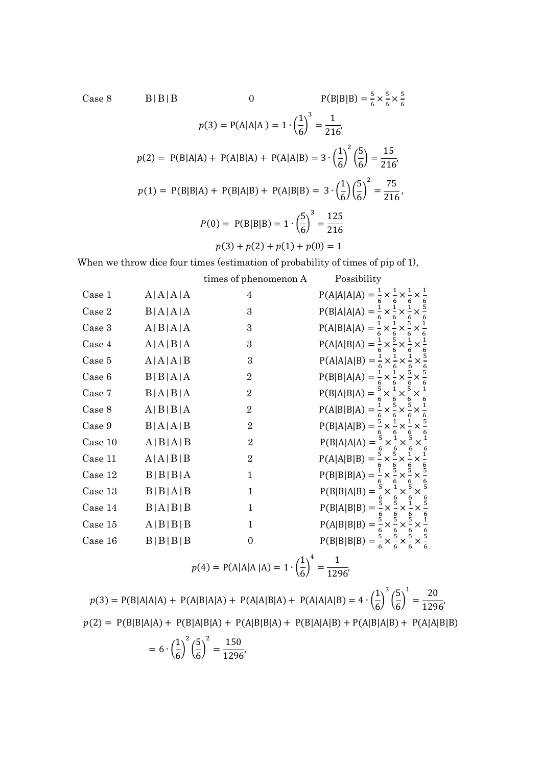Case 8 B | B | B | B | 0 P(B|B|B) =  $\frac{5}{6}$  $rac{5}{6} \times \frac{5}{6}$  $rac{5}{6} \times \frac{5}{6}$  $\frac{5}{6}$  $p(3) = P(A|A|A) = 1 \cdot \left(\frac{1}{6}\right)$  $\frac{1}{6}$ ଷ = 1  $\frac{1}{216}$  $p(2) = P(B|A|A) + P(A|B|A) + P(A|A|B) = 3 \cdot \left(\frac{1}{6}\right)$  $\frac{1}{6}$ 2  $\lceil$ 5  $\left(\frac{2}{6}\right)$  = 15  $\frac{1}{216}$  $p(1) = P(B|B|A) + P(B|A|B) + P(A|B|B) = 3 \cdot \left(\frac{1}{6}\right)$  $\frac{1}{6} \left( \frac{5}{6} \right)^2$ ଶ = 75  $\frac{1}{216}$  $P(0) = P(B|B|B) = 1 \cdot \left(\frac{5}{6}\right)$  $\frac{1}{6}$ ଷ = 125 216  $p(3) + p(2) + p(1) + p(0) = 1$ 

When we throw dice four times (estimation of probability of times of pip of 1),

|      |         | times of phenomenon A | Possibility                |
|------|---------|-----------------------|----------------------------|
| se 1 | A A A A |                       | $P(A A A A) = \frac{1}{6}$ |

| Case 1  | A A A A       | 4              | $P(A A A A) = \frac{1}{6} \times \frac{1}{6}$             |
|---------|---------------|----------------|-----------------------------------------------------------|
| Case 2  | B A A A       | 3              | 5<br>$P(B A A A) = \frac{1}{6} \times \frac{1}{6}$        |
| Case 3  | A B A A       | 3              | $P(A B A A) = \frac{1}{6} \times \frac{1}{6}$             |
| Case 4  | A   A   B   A | 3              | $P(A A B A) = \frac{1}{2} \times \frac{5}{4}$             |
| Case 5  | A A A B       | 3              | $P(A A A B) = \frac{1}{6} \times \frac{1}{6}$             |
| Case 6  | B B A A       | $\overline{2}$ | $P(B B A A) = \frac{1}{6}$<br>×                           |
| Case 7  | B A B A       | $\overline{2}$ | $P(B A B A) = \frac{5}{6} \times \frac{1}{6} \times$      |
| Case 8  | A B B A       | $\overline{2}$ | $P(A B B A) = \frac{1}{6} \times \frac{5}{6}$             |
| Case 9  | B A A B       | $\overline{2}$ | $P(B A A B) = \frac{5}{6} \times \frac{1}{6}$             |
| Case 10 | A B A B       | $\overline{2}$ | $P(B A A A) = \frac{5}{6} \times \frac{1}{6}$<br>$\times$ |
| Case 11 | A   A   B   B | $\overline{2}$ | $P(A A B B) = \frac{5}{6} \times \frac{5}{6} \times$      |
| Case 12 | B B B A       | $\mathbf 1$    | $P(B B B A) = \frac{1}{6} \times \frac{5}{6} \times$      |
| Case 13 | B B A B       | $\mathbf{1}$   | $P(B B A B) = \frac{5}{6} \times \frac{1}{6}$             |
| Case 14 | B A B B       | $\mathbf{1}$   | $P(B A B B) = \frac{5}{6} \times \frac{5}{6} \times$      |
| Case 15 | A B B B       | 1              | $P(A B B B) = \frac{5}{6} \times \frac{5}{6}$             |
| Case 16 | B B B B       | $\overline{0}$ | $P(B B B B) = \frac{5}{6} \times \frac{5}{6}$             |
|         |               |                |                                                           |

$$
p(4) = P(A|A|A|A) = 1 \cdot \left(\frac{1}{6}\right)^4 = \frac{1}{1296'}
$$

 $p(3) = P(B|A|A|A) + P(A|B|A|A) + P(A|A|B|A) + P(A|A|A|B) = 4 \cdot \left(\frac{1}{6}\right)$  $\frac{1}{6}$ ଷ ൬ 5  $\frac{1}{6}$  $\mathbf 1$ = 20  $\frac{1}{1296}$  $p(2) = P(B|B|A|A) + P(B|A|B|A) + P(A|B|B|A) + P(B|A|A|B) + P(A|B|A|B) + P(A|A|B|B)$ 

$$
= 6 \cdot \left(\frac{1}{6}\right)^2 \left(\frac{5}{6}\right)^2 = \frac{150}{1296},
$$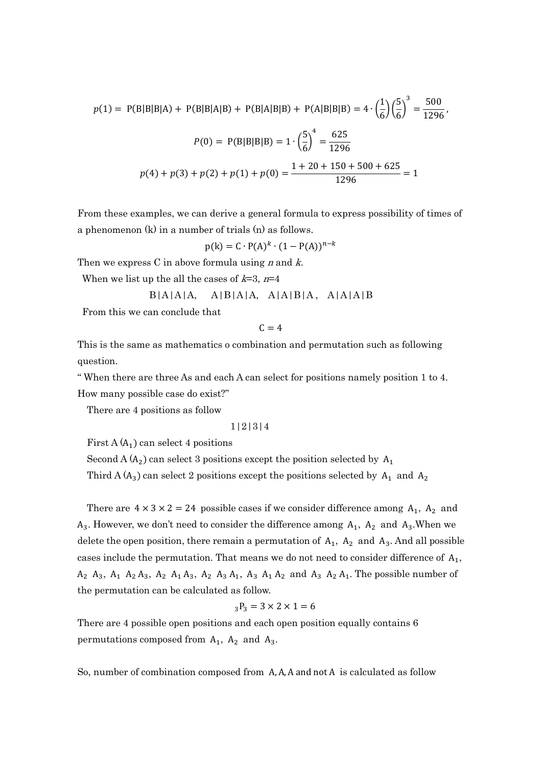$$
p(1) = P(B|B|B|A) + P(B|B|A|B) + P(B|A|B|B) + P(A|B|B|B) = 4 \cdot \left(\frac{1}{6}\right) \left(\frac{5}{6}\right)^3 = \frac{500}{1296},
$$
  

$$
P(0) = P(B|B|B|B) = 1 \cdot \left(\frac{5}{6}\right)^4 = \frac{625}{1296}
$$
  

$$
p(4) + p(3) + p(2) + p(1) + p(0) = \frac{1 + 20 + 150 + 500 + 625}{1296} = 1
$$

From these examples, we can derive a general formula to express possibility of times of a phenomenon (k) in a number of trials (n) as follows.

$$
p(k) = C \cdot P(A)^k \cdot (1 - P(A))^{n-k}
$$

Then we express C in above formula using  $n$  and  $k$ .

When we list up the all the cases of  $k=3$ ,  $n=4$ 

$$
B|A|A|A, \quad A|B|A|A, \quad A|A|B|A, \quad A|A|A|B
$$

From this we can conclude that

 $C = 4$ 

This is the same as mathematics o combination and permutation such as following question.

" When there are three As and each A can select for positions namely position 1 to 4. How many possible case do exist?"

There are 4 positions as follow

1|2|3|4

First A $(A_1)$  can select 4 positions

Second A (A<sub>2</sub>) can select 3 positions except the position selected by A<sub>1</sub>

Third A  $(A_3)$  can select 2 positions except the positions selected by  $A_1$  and  $A_2$ 

There are  $4 \times 3 \times 2 = 24$  possible cases if we consider difference among  $A_1$ ,  $A_2$  and  $A_3$ . However, we don't need to consider the difference among  $A_1$ ,  $A_2$  and  $A_3$ . When we delete the open position, there remain a permutation of  $A_1$ ,  $A_2$  and  $A_3$ . And all possible cases include the permutation. That means we do not need to consider difference of  $A_1$ ,  $A_2$   $A_3$ ,  $A_1$   $A_2$   $A_3$ ,  $A_2$   $A_1$   $A_3$ ,  $A_2$   $A_3$ ,  $A_1$ ,  $A_3$   $A_1$   $A_2$  and  $A_3$   $A_2$   $A_1$ . The possible number of the permutation can be calculated as follow.

$$
_3P_3 = 3 \times 2 \times 1 = 6
$$

There are 4 possible open positions and each open position equally contains 6 permutations composed from  $A_1$ ,  $A_2$  and  $A_3$ .

So, number of combination composed from A, A, A and not A is calculated as follow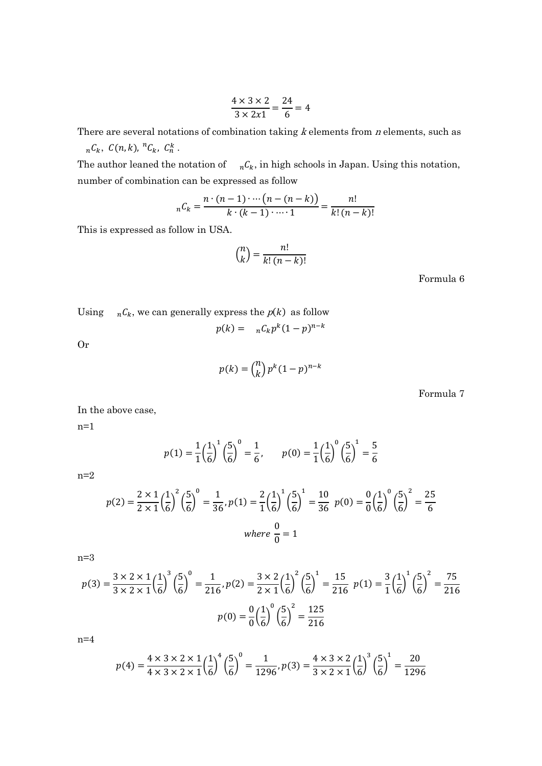$$
\frac{4 \times 3 \times 2}{3 \times 2x1} = \frac{24}{6} = 4
$$

There are several notations of combination taking  $k$  elements from  $n$  elements, such as

 $_nC_k$ ,  $C(n, k)$ ,  ${}^nC_k$ ,  $C_n^k$ . The author leaned the notation of  $_nC_k$ , in high schools in Japan. Using this notation, number of combination can be expressed as follow

$$
{}_{n}C_{k} = \frac{n \cdot (n-1) \cdot \cdots (n-(n-k))}{k \cdot (k-1) \cdot \cdots 1} = \frac{n!}{k! \cdot (n-k)!}
$$

This is expressed as follow in USA.

$$
\binom{n}{k} = \frac{n!}{k! \, (n-k)!}
$$

Formula 6

Using  $_nC_k$ , we can generally express the  $p(k)$  as follow

$$
p(k) = nC_k p^k (1-p)^{n-k}
$$

Or

$$
p(k) = {n \choose k} p^k (1-p)^{n-k}
$$

Formula 7

In the above case,

 $n=1$ 

$$
p(1) = \frac{1}{1} \left(\frac{1}{6}\right)^1 \left(\frac{5}{6}\right)^0 = \frac{1}{6}, \qquad p(0) = \frac{1}{1} \left(\frac{1}{6}\right)^0 \left(\frac{5}{6}\right)^1 = \frac{5}{6}
$$

n=2

$$
p(2) = \frac{2 \times 1}{2 \times 1} \left(\frac{1}{6}\right)^2 \left(\frac{5}{6}\right)^0 = \frac{1}{36}, p(1) = \frac{2}{1} \left(\frac{1}{6}\right)^1 \left(\frac{5}{6}\right)^1 = \frac{10}{36} \ p(0) = \frac{0}{0} \left(\frac{1}{6}\right)^0 \left(\frac{5}{6}\right)^2 = \frac{25}{6}
$$
  
where  $\frac{0}{0} = 1$ 

n=3

$$
p(3) = \frac{3 \times 2 \times 1}{3 \times 2 \times 1} \left(\frac{1}{6}\right)^3 \left(\frac{5}{6}\right)^0 = \frac{1}{216}, p(2) = \frac{3 \times 2}{2 \times 1} \left(\frac{1}{6}\right)^2 \left(\frac{5}{6}\right)^1 = \frac{15}{216} \quad p(1) = \frac{3}{1} \left(\frac{1}{6}\right)^1 \left(\frac{5}{6}\right)^2 = \frac{75}{216}
$$
\n
$$
p(0) = \frac{0}{0} \left(\frac{1}{6}\right)^0 \left(\frac{5}{6}\right)^2 = \frac{125}{216}
$$

n=4

$$
p(4) = \frac{4 \times 3 \times 2 \times 1}{4 \times 3 \times 2 \times 1} \left(\frac{1}{6}\right)^4 \left(\frac{5}{6}\right)^0 = \frac{1}{1296}, p(3) = \frac{4 \times 3 \times 2}{3 \times 2 \times 1} \left(\frac{1}{6}\right)^3 \left(\frac{5}{6}\right)^1 = \frac{20}{1296}
$$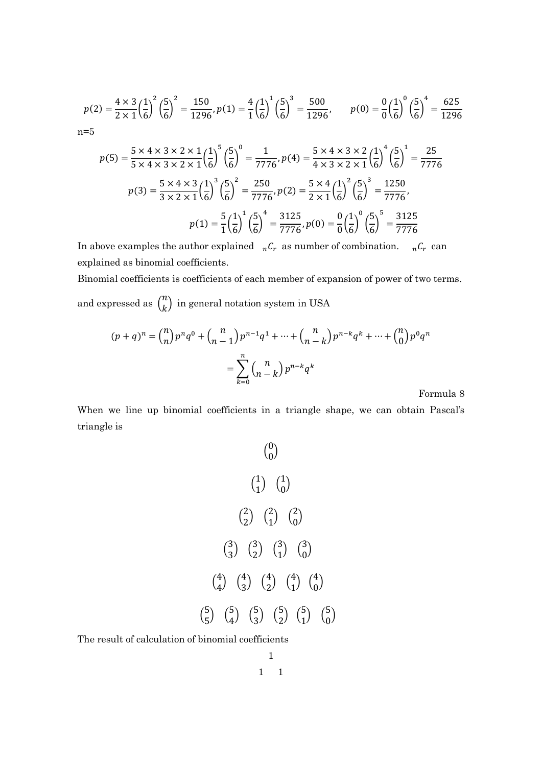$$
p(2) = \frac{4 \times 3}{2 \times 1} \left(\frac{1}{6}\right)^2 \left(\frac{5}{6}\right)^2 = \frac{150}{1296}, p(1) = \frac{4}{1} \left(\frac{1}{6}\right)^1 \left(\frac{5}{6}\right)^3 = \frac{500}{1296}, \qquad p(0) = \frac{0}{0} \left(\frac{1}{6}\right)^0 \left(\frac{5}{6}\right)^4 = \frac{625}{1296}
$$
  
n=5

$$
p(5) = \frac{5 \times 4 \times 3 \times 2 \times 1}{5 \times 4 \times 3 \times 2 \times 1} \left(\frac{1}{6}\right)^5 \left(\frac{5}{6}\right)^0 = \frac{1}{7776}, p(4) = \frac{5 \times 4 \times 3 \times 2}{4 \times 3 \times 2 \times 1} \left(\frac{1}{6}\right)^4 \left(\frac{5}{6}\right)^1 = \frac{25}{7776}
$$
\n
$$
p(3) = \frac{5 \times 4 \times 3}{3 \times 2 \times 1} \left(\frac{1}{6}\right)^3 \left(\frac{5}{6}\right)^2 = \frac{250}{7776}, p(2) = \frac{5 \times 4}{2 \times 1} \left(\frac{1}{6}\right)^2 \left(\frac{5}{6}\right)^3 = \frac{1250}{7776},
$$
\n
$$
p(1) = \frac{5}{1} \left(\frac{1}{6}\right)^1 \left(\frac{5}{6}\right)^4 = \frac{3125}{7776}, p(0) = \frac{0}{0} \left(\frac{1}{6}\right)^0 \left(\frac{5}{6}\right)^5 = \frac{3125}{7776}
$$

In above examples the author explained  ${}_{n}C_{r}$  as number of combination.  ${}_{n}C_{r}$  can explained as binomial coefficients.

Binomial coefficients is coefficients of each member of expansion of power of two terms. and expressed as  $\binom{n}{k}$  $\binom{n}{k}$  in general notation system in USA

$$
(p+q)^n = {n \choose n} p^n q^0 + {n \choose n-1} p^{n-1} q^1 + \dots + {n \choose n-k} p^{n-k} q^k + \dots + {n \choose 0} p^0 q^n
$$

$$
= \sum_{k=0}^n {n \choose n-k} p^{n-k} q^k
$$

## Formula 8

When we line up binomial coefficients in a triangle shape, we can obtain Pascal's triangle is

$$
\binom{0}{0}
$$
\n
$$
\binom{1}{1} \binom{1}{0}
$$
\n
$$
\binom{2}{2} \binom{2}{1} \binom{2}{0}
$$
\n
$$
\binom{3}{3} \binom{3}{2} \binom{3}{1} \binom{3}{0}
$$
\n
$$
\binom{4}{4} \binom{4}{3} \binom{4}{2} \binom{4}{1} \binom{4}{0}
$$
\n
$$
\binom{5}{5} \binom{5}{4} \binom{5}{3} \binom{5}{2} \binom{5}{1} \binom{5}{0}
$$

The result of calculation of binomial coefficients

$$
\begin{array}{cc} & 1 \\ 1 & 1 \end{array}
$$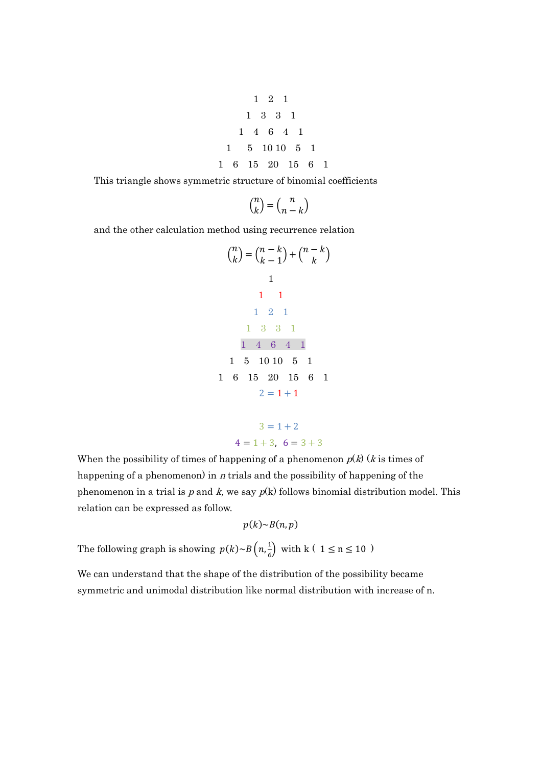$$
\begin{array}{cccccc}\n & 1 & 2 & 1 \\
 & 1 & 3 & 3 & 1 \\
 & 1 & 4 & 6 & 4 & 1 \\
1 & 5 & 10 & 10 & 5 & 1 \\
1 & 6 & 15 & 20 & 15 & 6 & 1\n\end{array}
$$

This triangle shows symmetric structure of binomial coefficients

$$
\binom{n}{k} = \binom{n}{n-k}
$$

and the other calculation method using recurrence relation

$$
\binom{n}{k} = \binom{n-k}{k-1} + \binom{n-k}{k}
$$
\n1\n1\n1\n1\n2\n1\n1\n3\n3\n1\n1\n4\n6\n4\n1\n1\n5\n10\n10\n5\n1\n1\n6\n15\n20\n15\n6\n1\n2 = 1 + 1

 $3 = 1 + 2$  $4 = 1 + 3$ ,  $6 = 3 + 3$ 

When the possibility of times of happening of a phenomenon  $p(k)$  (*k* is times of happening of a phenomenon) in  $n$  trials and the possibility of happening of the phenomenon in a trial is p and k, we say  $p(k)$  follows binomial distribution model. This relation can be expressed as follow.

$$
p(k) \sim B(n, p)
$$

The following graph is showing  $p(k) \sim B\left(n, \frac{1}{\epsilon}\right)$  $\frac{1}{6}$  with k (  $1 \le n \le 10$  )

We can understand that the shape of the distribution of the possibility became symmetric and unimodal distribution like normal distribution with increase of n.